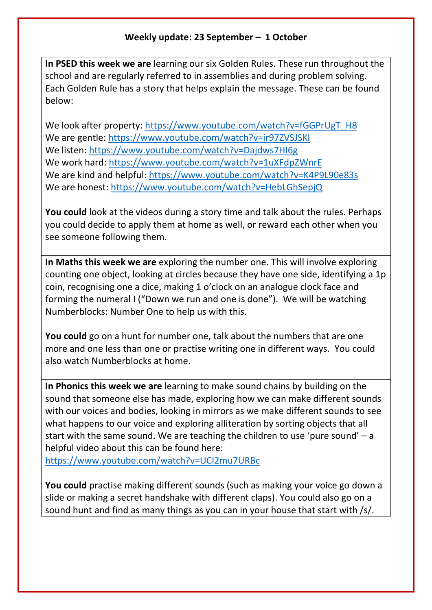## **Weekly update: 23 September – 1 October**

**In PSED this week we are** learning our six Golden Rules. These run throughout the school and are regularly referred to in assemblies and during problem solving. Each Golden Rule has a story that helps explain the message. These can be found below:

We look after property: [https://www.youtube.com/watch?v=fGGPrUgT\\_H8](https://www.youtube.com/watch?v=fGGPrUgT_H8) We are gentle:<https://www.youtube.com/watch?v=ir97ZVSJSKI> We listen:<https://www.youtube.com/watch?v=Dajdws7HI6g> We work hard:<https://www.youtube.com/watch?v=1uXFdpZWnrE> We are kind and helpful:<https://www.youtube.com/watch?v=K4P9L90e83s> We are honest:<https://www.youtube.com/watch?v=HebLGhSepjQ>

**You could** look at the videos during a story time and talk about the rules. Perhaps you could decide to apply them at home as well, or reward each other when you see someone following them.

**In Maths this week we are** exploring the number one. This will involve exploring counting one object, looking at circles because they have one side, identifying a 1p coin, recognising one a dice, making 1 o'clock on an analogue clock face and forming the numeral I ("Down we run and one is done"). We will be watching Numberblocks: Number One to help us with this.

**You could** go on a hunt for number one, talk about the numbers that are one more and one less than one or practise writing one in different ways. You could also watch Numberblocks at home.

**In Phonics this week we are** learning to make sound chains by building on the sound that someone else has made, exploring how we can make different sounds with our voices and bodies, looking in mirrors as we make different sounds to see what happens to our voice and exploring alliteration by sorting objects that all start with the same sound. We are teaching the children to use 'pure sound' – a helpful video about this can be found here:

<https://www.youtube.com/watch?v=UCI2mu7URBc>

**You could** practise making different sounds (such as making your voice go down a slide or making a secret handshake with different claps). You could also go on a sound hunt and find as many things as you can in your house that start with /s/.